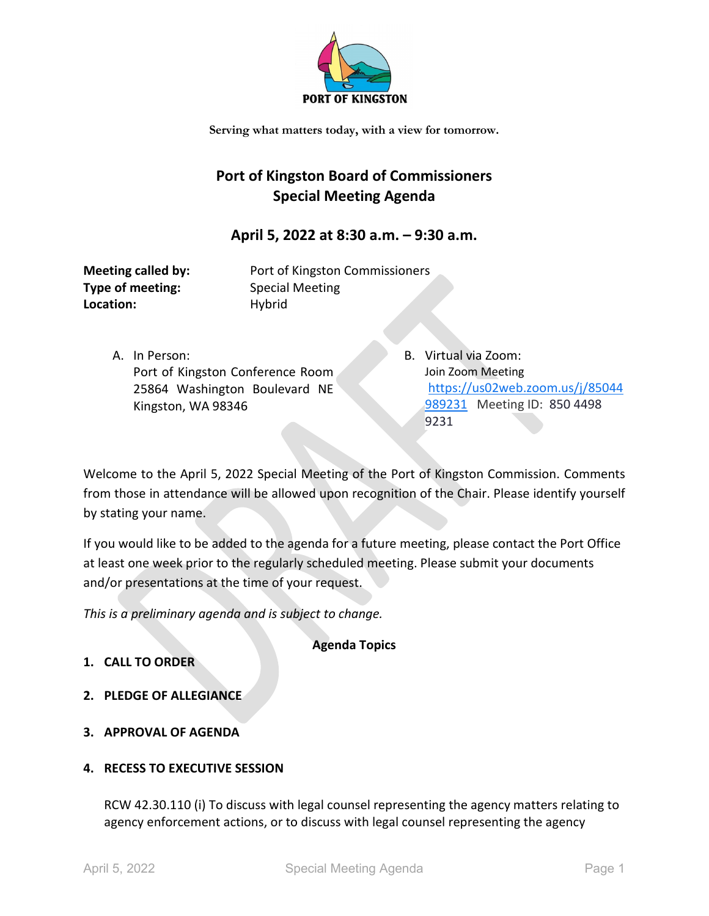

**Serving what matters today, with a view for tomorrow.**

## **Port of Kingston Board of Commissioners Special Meeting Agenda**

## **April 5, 2022 at 8:30 a.m. – 9:30 a.m.**

**Type of meeting:** Special Meeting Location: Hybrid

**Meeting called by:** Port of Kingston Commissioners

- A. In Person: Port of Kingston Conference Room 25864 Washington Boulevard NE Kingston, WA 98346
- B. Virtual via Zoom: Join Zoom Meeting [https://us02web.zoom.us/j/85044](https://us02web.zoom.us/j/85044989231) [989231](https://us02web.zoom.us/j/85044989231) Meeting ID: 850 4498 9231

Welcome to the April 5, 2022 Special Meeting of the Port of Kingston Commission. Comments from those in attendance will be allowed upon recognition of the Chair. Please identify yourself by stating your name.

If you would like to be added to the agenda for a future meeting, please contact the Port Office at least one week prior to the regularly scheduled meeting. Please submit your documents and/or presentations at the time of your request.

*This is a preliminary agenda and is subject to change.*

**Agenda Topics**

- **1. CALL TO ORDER**
- **2. PLEDGE OF ALLEGIANCE**
- **3. APPROVAL OF AGENDA**
- **4. RECESS TO EXECUTIVE SESSION**

RCW 42.30.110 (i) To discuss with legal counsel representing the agency matters relating to agency enforcement actions, or to discuss with legal counsel representing the agency